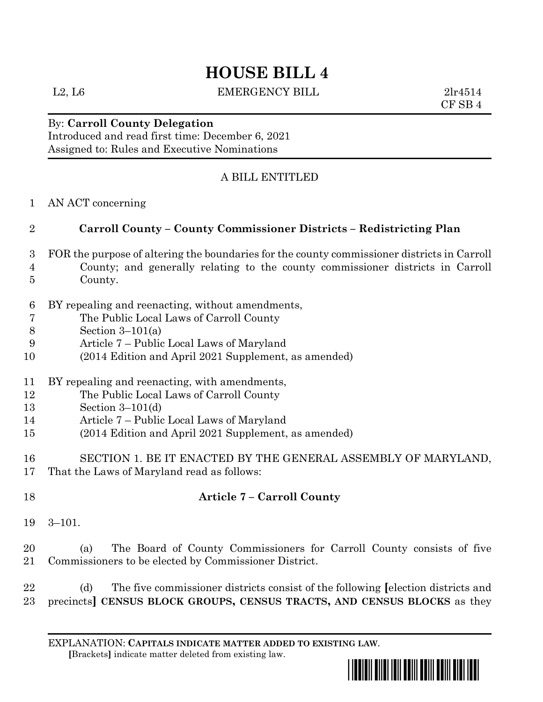# **HOUSE BILL 4**

L2, L6 EMERGENCY BILL 2lr4514

CF SB 4

### By: **Carroll County Delegation** Introduced and read first time: December 6, 2021 Assigned to: Rules and Executive Nominations

# A BILL ENTITLED

AN ACT concerning

## **Carroll County – County Commissioner Districts – Redistricting Plan**

- FOR the purpose of altering the boundaries for the county commissioner districts in Carroll County; and generally relating to the county commissioner districts in Carroll County.
- BY repealing and reenacting, without amendments,
- The Public Local Laws of Carroll County
- Section 3–101(a)
- Article 7 Public Local Laws of Maryland
- (2014 Edition and April 2021 Supplement, as amended)
- BY repealing and reenacting, with amendments,
- The Public Local Laws of Carroll County
- Section 3–101(d)
- Article 7 Public Local Laws of Maryland
- (2014 Edition and April 2021 Supplement, as amended)
- SECTION 1. BE IT ENACTED BY THE GENERAL ASSEMBLY OF MARYLAND, That the Laws of Maryland read as follows:
- 

# **Article 7 – Carroll County**

3–101.

### (a) The Board of County Commissioners for Carroll County consists of five Commissioners to be elected by Commissioner District.

 (d) The five commissioner districts consist of the following **[**election districts and precincts**] CENSUS BLOCK GROUPS, CENSUS TRACTS, AND CENSUS BLOCKS** as they

EXPLANATION: **CAPITALS INDICATE MATTER ADDED TO EXISTING LAW**.  **[**Brackets**]** indicate matter deleted from existing law.

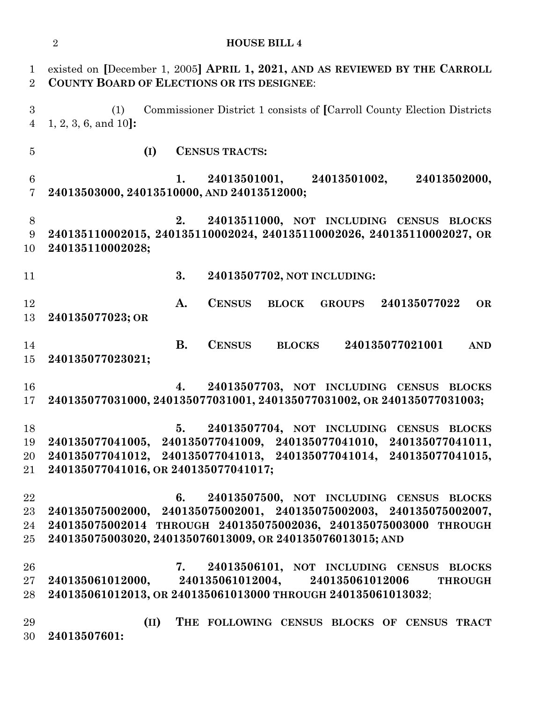existed on **[**December 1, 2005**] APRIL 1, 2021, AND AS REVIEWED BY THE CARROLL COUNTY BOARD OF ELECTIONS OR ITS DESIGNEE**: (1) Commissioner District 1 consists of **[**Carroll County Election Districts 1, 2, 3, 6, and 10**]: (I) CENSUS TRACTS: 1. 24013501001, 24013501002, 24013502000, 24013503000, 24013510000, AND 24013512000; 2. 24013511000, NOT INCLUDING CENSUS BLOCKS 240135110002015, 240135110002024, 240135110002026, 240135110002027, OR 240135110002028; 3. 24013507702, NOT INCLUDING: A. CENSUS BLOCK GROUPS 240135077022 OR 240135077023; OR B. CENSUS BLOCKS 240135077021001 AND 240135077023021; 4. 24013507703, NOT INCLUDING CENSUS BLOCKS 240135077031000, 240135077031001, 240135077031002, OR 240135077031003; 5. 24013507704, NOT INCLUDING CENSUS BLOCKS 240135077041005, 240135077041009, 240135077041010, 240135077041011, 240135077041012, 240135077041013, 240135077041014, 240135077041015, 240135077041016, OR 240135077041017; 6. 24013507500, NOT INCLUDING CENSUS BLOCKS 240135075002000, 240135075002001, 240135075002003, 240135075002007, 240135075002014 THROUGH 240135075002036, 240135075003000 THROUGH 240135075003020, 240135076013009, OR 240135076013015; AND 7. 24013506101, NOT INCLUDING CENSUS BLOCKS 240135061012000, 240135061012004, 240135061012006 THROUGH 240135061012013, OR 240135061013000 THROUGH 240135061013032**; **(II) THE FOLLOWING CENSUS BLOCKS OF CENSUS TRACT 24013507601:**

**HOUSE BILL 4**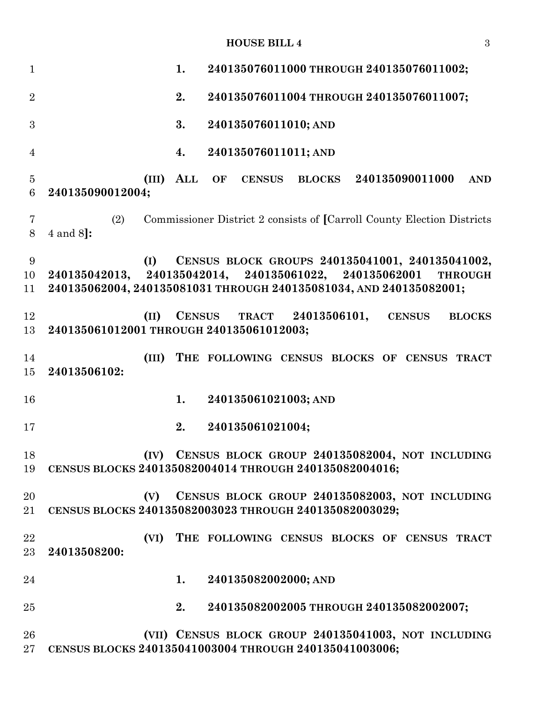**HOUSE BILL 4** 3

| $\mathbf{1}$        |                                                                                                                                     | 1.  |               |                  | 240135076011000 THROUGH 240135076011002;                               |  |                 |                |
|---------------------|-------------------------------------------------------------------------------------------------------------------------------------|-----|---------------|------------------|------------------------------------------------------------------------|--|-----------------|----------------|
| $\overline{2}$      |                                                                                                                                     | 2.  |               |                  | 240135076011004 THROUGH 240135076011007;                               |  |                 |                |
| 3                   |                                                                                                                                     | 3.  |               |                  | 240135076011010; AND                                                   |  |                 |                |
|                     |                                                                                                                                     |     |               |                  |                                                                        |  |                 |                |
| $\overline{4}$      |                                                                                                                                     | 4.  |               |                  | 240135076011011; AND                                                   |  |                 |                |
| $\overline{5}$<br>6 | (III)<br>240135090012004;                                                                                                           | ALL | OF            | <b>CENSUS</b>    | <b>BLOCKS</b>                                                          |  | 240135090011000 | <b>AND</b>     |
| 7<br>8              | (2)<br>$4$ and $8$ :                                                                                                                |     |               |                  | Commissioner District 2 consists of [Carroll County Election Districts |  |                 |                |
| 9<br>10<br>11       | (I)<br>240135042013, 240135042014, 240135061022, 240135062001<br>240135062004, 240135081031 THROUGH 240135081034, AND 240135082001; |     |               |                  | CENSUS BLOCK GROUPS 240135041001, 240135041002,                        |  |                 | <b>THROUGH</b> |
| 12<br>13            | (II)<br>240135061012001 THROUGH 240135061012003;                                                                                    |     | <b>CENSUS</b> |                  | TRACT 24013506101,                                                     |  | <b>CENSUS</b>   | <b>BLOCKS</b>  |
| 14<br>15            | (III)<br>24013506102:                                                                                                               |     |               |                  | THE FOLLOWING CENSUS BLOCKS OF CENSUS TRACT                            |  |                 |                |
| 16                  |                                                                                                                                     | 1.  |               |                  | 240135061021003; AND                                                   |  |                 |                |
| 17                  |                                                                                                                                     | 2.  |               | 240135061021004; |                                                                        |  |                 |                |
| 18<br>19            | CENSUS BLOCKS 240135082004014 THROUGH 240135082004016;                                                                              |     |               |                  | (IV) CENSUS BLOCK GROUP 240135082004, NOT INCLUDING                    |  |                 |                |
| 20                  |                                                                                                                                     |     |               |                  |                                                                        |  |                 |                |
| $21\,$              | (V)<br>CENSUS BLOCKS 240135082003023 THROUGH 240135082003029;                                                                       |     |               |                  | CENSUS BLOCK GROUP 240135082003, NOT INCLUDING                         |  |                 |                |
| 22<br>23            | (VI)<br>24013508200:                                                                                                                |     |               |                  | THE FOLLOWING CENSUS BLOCKS OF CENSUS TRACT                            |  |                 |                |
| 24                  |                                                                                                                                     | 1.  |               |                  | 240135082002000; AND                                                   |  |                 |                |
| 25                  |                                                                                                                                     | 2.  |               |                  | 240135082002005 THROUGH 240135082002007;                               |  |                 |                |
| 26<br>$27\,$        | CENSUS BLOCKS 240135041003004 THROUGH 240135041003006;                                                                              |     |               |                  | (VII) CENSUS BLOCK GROUP 240135041003, NOT INCLUDING                   |  |                 |                |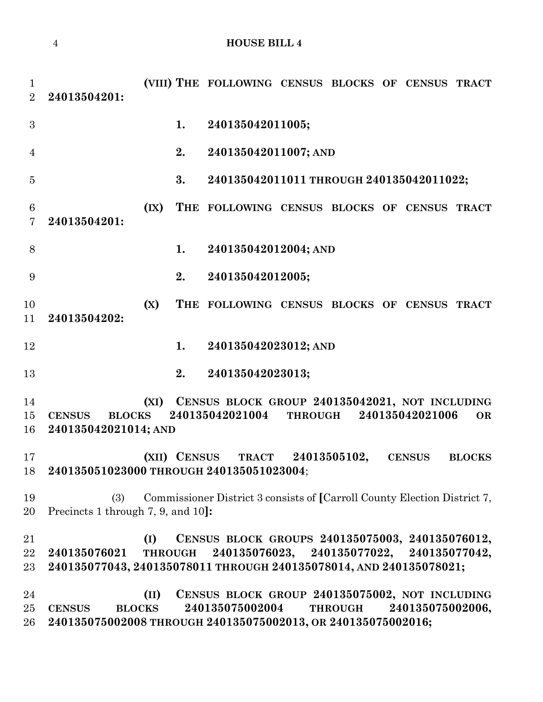```
4 HOUSE BILL 4
```
 **(VIII) THE FOLLOWING CENSUS BLOCKS OF CENSUS TRACT 24013504201: 1. 240135042011005; 2. 240135042011007; AND 3. 240135042011011 THROUGH 240135042011022; (IX) THE FOLLOWING CENSUS BLOCKS OF CENSUS TRACT 24013504201: 1. 240135042012004; AND 2. 240135042012005; (X) THE FOLLOWING CENSUS BLOCKS OF CENSUS TRACT 24013504202: 1. 240135042023012; AND 2. 240135042023013; (XI) CENSUS BLOCK GROUP 240135042021, NOT INCLUDING CENSUS BLOCKS 240135042021004 THROUGH 240135042021006 OR 240135042021014; AND (XII) CENSUS TRACT 24013505102, CENSUS BLOCKS 240135051023000 THROUGH 240135051023004**; (3) Commissioner District 3 consists of **[**Carroll County Election District 7, Precincts 1 through 7, 9, and 10**]: (I) CENSUS BLOCK GROUPS 240135075003, 240135076012, 240135076021 THROUGH 240135076023, 240135077022, 240135077042, 240135077043, 240135078011 THROUGH 240135078014, AND 240135078021; (II) CENSUS BLOCK GROUP 240135075002, NOT INCLUDING CENSUS BLOCKS 240135075002004 THROUGH 240135075002006, 240135075002008 THROUGH 240135075002013, OR 240135075002016;**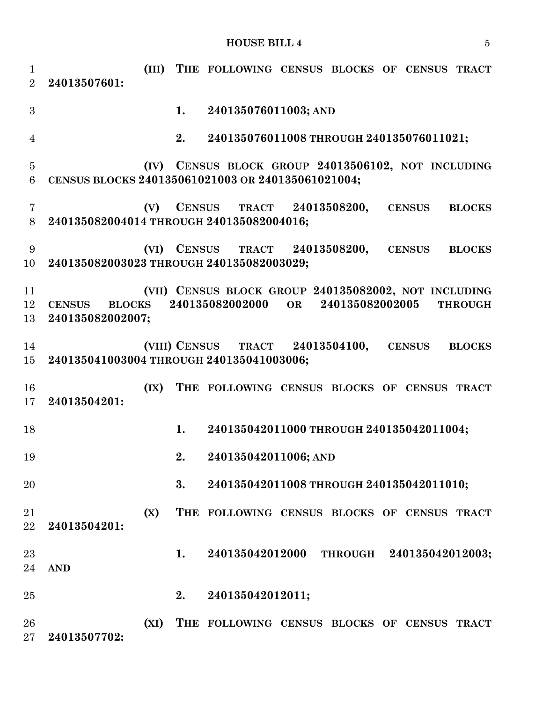#### **HOUSE BILL 4** 5

 **(III) THE FOLLOWING CENSUS BLOCKS OF CENSUS TRACT 24013507601: 1. 240135076011003; AND 2. 240135076011008 THROUGH 240135076011021; (IV) CENSUS BLOCK GROUP 24013506102, NOT INCLUDING CENSUS BLOCKS 240135061021003 OR 240135061021004; (V) CENSUS TRACT 24013508200, CENSUS BLOCKS 240135082004014 THROUGH 240135082004016; (VI) CENSUS TRACT 24013508200, CENSUS BLOCKS 240135082003023 THROUGH 240135082003029; (VII) CENSUS BLOCK GROUP 240135082002, NOT INCLUDING CENSUS BLOCKS 240135082002000 OR 240135082002005 THROUGH 240135082002007; (VIII) CENSUS TRACT 24013504100, CENSUS BLOCKS 240135041003004 THROUGH 240135041003006; (IX) THE FOLLOWING CENSUS BLOCKS OF CENSUS TRACT 24013504201: 1. 240135042011000 THROUGH 240135042011004; 2. 240135042011006; AND 3. 240135042011008 THROUGH 240135042011010; (X) THE FOLLOWING CENSUS BLOCKS OF CENSUS TRACT 24013504201: 1. 240135042012000 THROUGH 240135042012003; AND 2. 240135042012011; (XI) THE FOLLOWING CENSUS BLOCKS OF CENSUS TRACT 24013507702:**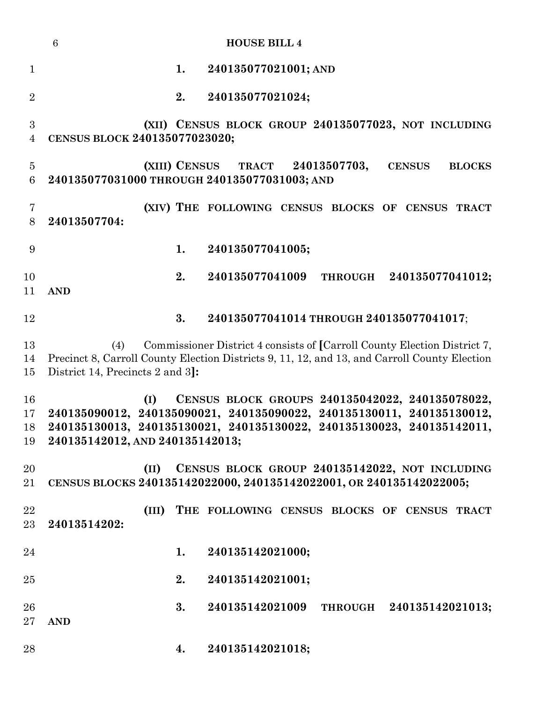|                                    | $\boldsymbol{6}$<br><b>HOUSE BILL 4</b>                                                                                                                                                                                                     |
|------------------------------------|---------------------------------------------------------------------------------------------------------------------------------------------------------------------------------------------------------------------------------------------|
| $\mathbf{1}$                       | 240135077021001; AND<br>1.                                                                                                                                                                                                                  |
| $\overline{2}$                     | 2.<br>240135077021024;                                                                                                                                                                                                                      |
| $\boldsymbol{3}$<br>$\overline{4}$ | (XII) CENSUS BLOCK GROUP 240135077023, NOT INCLUDING<br>CENSUS BLOCK 240135077023020;                                                                                                                                                       |
| $\overline{5}$<br>$6\phantom{.}6$  | (XIII) CENSUS<br>TRACT 24013507703,<br><b>CENSUS</b><br><b>BLOCKS</b><br>240135077031000 THROUGH 240135077031003; AND                                                                                                                       |
| $\overline{7}$<br>8                | (XIV) THE FOLLOWING CENSUS BLOCKS OF CENSUS TRACT<br>24013507704:                                                                                                                                                                           |
| 9                                  | 240135077041005;<br>1.                                                                                                                                                                                                                      |
| 10<br>11                           | 2.<br>240135077041009<br>THROUGH 240135077041012;<br><b>AND</b>                                                                                                                                                                             |
| 12                                 | 3.<br>240135077041014 THROUGH 240135077041017;                                                                                                                                                                                              |
| 13<br>14<br>15                     | Commissioner District 4 consists of [Carroll County Election District 7,<br>(4)<br>Precinct 8, Carroll County Election Districts 9, 11, 12, and 13, and Carroll County Election<br>District 14, Precincts 2 and 3.                          |
| 16<br>17<br>18<br>19               | CENSUS BLOCK GROUPS 240135042022, 240135078022,<br>(I)<br>240135090012, 240135090021, 240135090022, 240135130011, 240135130012,<br>240135130013, 240135130021, 240135130022, 240135130023, 240135142011,<br>240135142012, AND 240135142013; |
| 20<br>21                           | CENSUS BLOCK GROUP 240135142022, NOT INCLUDING<br>(II)<br>CENSUS BLOCKS 240135142022000, 240135142022001, OR 240135142022005;                                                                                                               |
| 22<br>23                           | (III)<br>THE FOLLOWING CENSUS BLOCKS OF CENSUS TRACT<br>24013514202:                                                                                                                                                                        |
| 24                                 | 1.<br>240135142021000;                                                                                                                                                                                                                      |
| 25                                 | 2.<br>240135142021001;                                                                                                                                                                                                                      |
| 26<br>27                           | 3.<br>240135142021009<br>THROUGH 240135142021013;<br><b>AND</b>                                                                                                                                                                             |
| 28                                 | 240135142021018;<br>4.                                                                                                                                                                                                                      |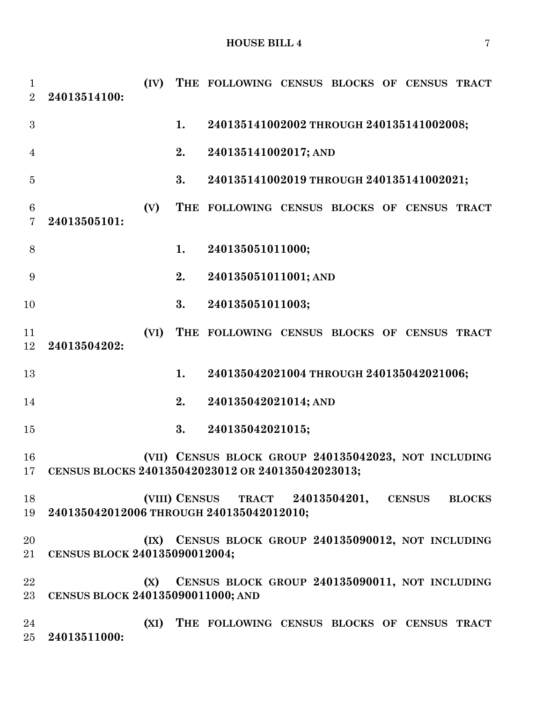| $\mathbf{1}$<br>2                 | 24013514100:                                                                               | (IV) |    | THE FOLLOWING CENSUS BLOCKS OF CENSUS TRACT          |  |  |  |  |  |
|-----------------------------------|--------------------------------------------------------------------------------------------|------|----|------------------------------------------------------|--|--|--|--|--|
| 3                                 |                                                                                            |      | 1. | 240135141002002 THROUGH 240135141002008;             |  |  |  |  |  |
| $\overline{4}$                    |                                                                                            |      | 2. | 240135141002017; AND                                 |  |  |  |  |  |
| $\overline{5}$                    |                                                                                            |      | 3. | 240135141002019 THROUGH 240135141002021;             |  |  |  |  |  |
| $6\phantom{.}6$<br>$\overline{7}$ | 24013505101:                                                                               | (V)  |    | THE FOLLOWING CENSUS BLOCKS OF CENSUS TRACT          |  |  |  |  |  |
| 8                                 |                                                                                            |      | 1. | 240135051011000;                                     |  |  |  |  |  |
| 9                                 |                                                                                            |      | 2. | 240135051011001; AND                                 |  |  |  |  |  |
| 10                                |                                                                                            |      | 3. | 240135051011003;                                     |  |  |  |  |  |
| 11<br>12                          | 24013504202:                                                                               | (VI) |    | THE FOLLOWING CENSUS BLOCKS OF CENSUS TRACT          |  |  |  |  |  |
| 13                                |                                                                                            |      | 1. | 240135042021004 THROUGH 240135042021006;             |  |  |  |  |  |
| 14                                |                                                                                            |      | 2. | 240135042021014; AND                                 |  |  |  |  |  |
| 15                                |                                                                                            |      | 3. | 240135042021015;                                     |  |  |  |  |  |
| 16<br>17                          | CENSUS BLOCKS 240135042023012 OR 240135042023013;                                          |      |    | (VII) CENSUS BLOCK GROUP 240135042023, NOT INCLUDING |  |  |  |  |  |
| 18<br>19                          | (VIII) CENSUS TRACT 24013504201, CENSUS BLOCKS<br>240135042012006 THROUGH 240135042012010; |      |    |                                                      |  |  |  |  |  |
| 20<br>21                          | CENSUS BLOCK 240135090012004;                                                              |      |    | (IX) CENSUS BLOCK GROUP 240135090012, NOT INCLUDING  |  |  |  |  |  |
| 22<br>23                          | CENSUS BLOCK GROUP 240135090011, NOT INCLUDING<br>(X)<br>CENSUS BLOCK 240135090011000; AND |      |    |                                                      |  |  |  |  |  |
| 24<br>25                          | 24013511000:                                                                               | (XI) |    | THE FOLLOWING CENSUS BLOCKS OF CENSUS TRACT          |  |  |  |  |  |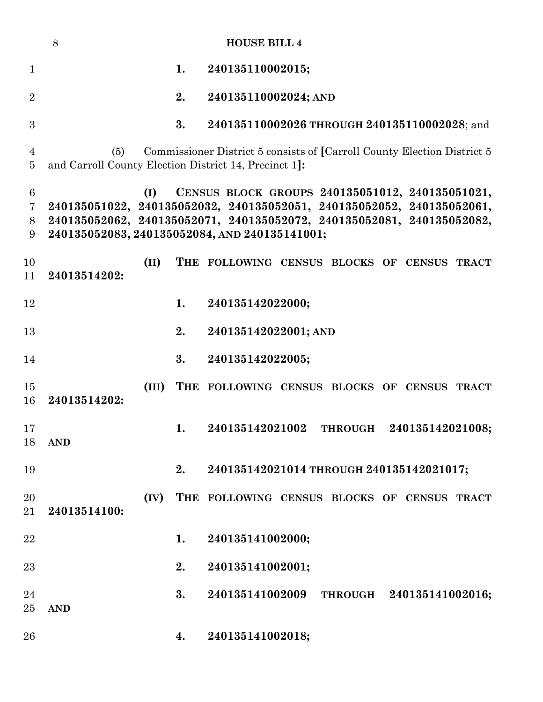|                                                           | 8            |       |    | <b>HOUSE BILL 4</b>                                                                                                                                                                                                                                |
|-----------------------------------------------------------|--------------|-------|----|----------------------------------------------------------------------------------------------------------------------------------------------------------------------------------------------------------------------------------------------------|
| $\mathbf{1}$                                              |              |       | 1. | 240135110002015;                                                                                                                                                                                                                                   |
| $\overline{2}$                                            |              |       | 2. | 240135110002024; AND                                                                                                                                                                                                                               |
| 3                                                         |              |       | 3. | 240135110002026 THROUGH 240135110002028; and                                                                                                                                                                                                       |
| $\overline{4}$<br>$\overline{5}$                          | (5)          |       |    | Commissioner District 5 consists of [Carroll County Election District 5<br>and Carroll County Election District 14, Precinct 1]:                                                                                                                   |
| $\boldsymbol{6}$<br>$\overline{7}$<br>8<br>$9\phantom{.}$ |              | (I)   |    | CENSUS BLOCK GROUPS 240135051012, 240135051021,<br>240135051022, 240135052032, 240135052051, 240135052052, 240135052061,<br>240135052062, 240135052071, 240135052072, 240135052081, 240135052082,<br>240135052083, 240135052084, AND 240135141001; |
| 10<br>11                                                  | 24013514202: | (II)  |    | THE FOLLOWING CENSUS BLOCKS OF CENSUS TRACT                                                                                                                                                                                                        |
| 12                                                        |              |       | 1. | 240135142022000;                                                                                                                                                                                                                                   |
| 13                                                        |              |       | 2. | 240135142022001; AND                                                                                                                                                                                                                               |
| 14                                                        |              |       | 3. | 240135142022005;                                                                                                                                                                                                                                   |
| 15<br>16                                                  | 24013514202: | (III) |    | THE FOLLOWING CENSUS BLOCKS OF CENSUS TRACT                                                                                                                                                                                                        |
| 17<br>18                                                  | <b>AND</b>   |       | 1. | 240135142021002<br>240135142021008;<br><b>THROUGH</b>                                                                                                                                                                                              |
| 19                                                        |              |       | 2. | 240135142021014 THROUGH 240135142021017;                                                                                                                                                                                                           |
| 20<br>21                                                  | 24013514100: | (IV)  |    | THE FOLLOWING CENSUS BLOCKS OF CENSUS TRACT                                                                                                                                                                                                        |
| 22                                                        |              |       | 1. | 240135141002000;                                                                                                                                                                                                                                   |
| 23                                                        |              |       | 2. | 240135141002001;                                                                                                                                                                                                                                   |
| 24<br>25                                                  | <b>AND</b>   |       | 3. | 240135141002009<br>THROUGH 240135141002016;                                                                                                                                                                                                        |
| 26                                                        |              |       | 4. | 240135141002018;                                                                                                                                                                                                                                   |